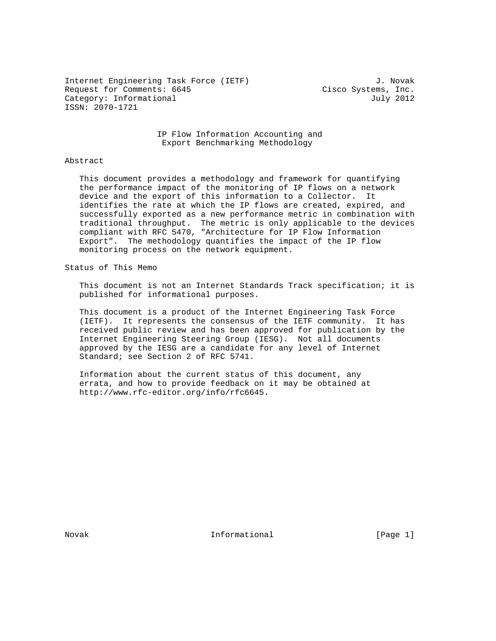Internet Engineering Task Force (IETF) 3. Novak Request for Comments: 6645 Cisco Systems, Inc. Category: Informational July 2012 ISSN: 2070-1721

 IP Flow Information Accounting and Export Benchmarking Methodology

## Abstract

 This document provides a methodology and framework for quantifying the performance impact of the monitoring of IP flows on a network device and the export of this information to a Collector. It identifies the rate at which the IP flows are created, expired, and successfully exported as a new performance metric in combination with traditional throughput. The metric is only applicable to the devices compliant with RFC 5470, "Architecture for IP Flow Information Export". The methodology quantifies the impact of the IP flow monitoring process on the network equipment.

## Status of This Memo

 This document is not an Internet Standards Track specification; it is published for informational purposes.

 This document is a product of the Internet Engineering Task Force (IETF). It represents the consensus of the IETF community. It has received public review and has been approved for publication by the Internet Engineering Steering Group (IESG). Not all documents approved by the IESG are a candidate for any level of Internet Standard; see Section 2 of RFC 5741.

 Information about the current status of this document, any errata, and how to provide feedback on it may be obtained at http://www.rfc-editor.org/info/rfc6645.

Novak **Informational Informational** [Page 1]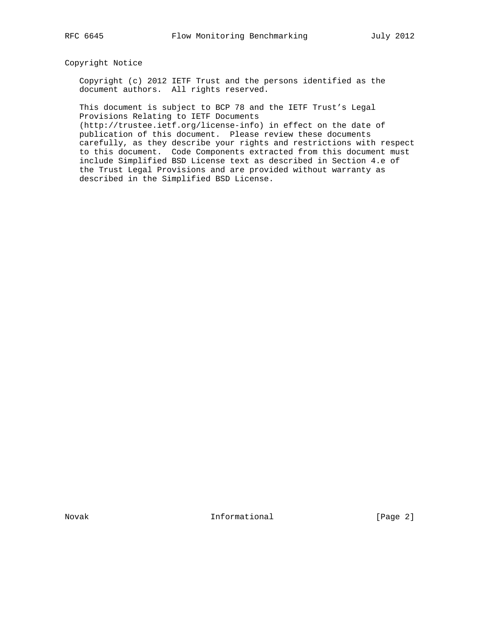# Copyright Notice

 Copyright (c) 2012 IETF Trust and the persons identified as the document authors. All rights reserved.

 This document is subject to BCP 78 and the IETF Trust's Legal Provisions Relating to IETF Documents

 (http://trustee.ietf.org/license-info) in effect on the date of publication of this document. Please review these documents carefully, as they describe your rights and restrictions with respect to this document. Code Components extracted from this document must include Simplified BSD License text as described in Section 4.e of the Trust Legal Provisions and are provided without warranty as described in the Simplified BSD License.

Novak **Informational Informational** [Page 2]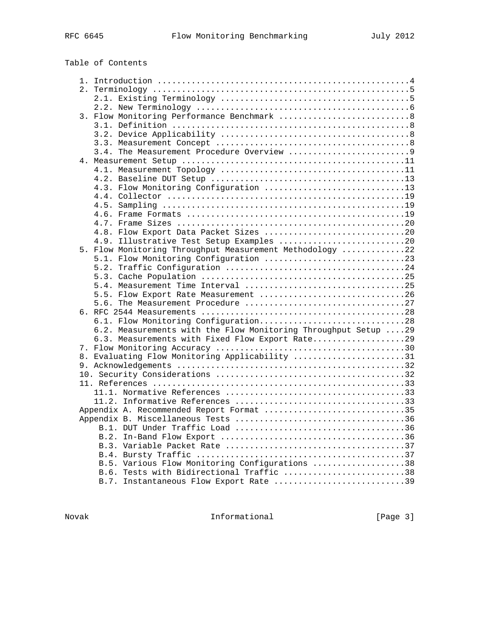|  |  | Table of Contents |
|--|--|-------------------|
|--|--|-------------------|

| 3. Flow Monitoring Performance Benchmark 8                     |  |
|----------------------------------------------------------------|--|
|                                                                |  |
|                                                                |  |
|                                                                |  |
|                                                                |  |
|                                                                |  |
|                                                                |  |
|                                                                |  |
| 4.3. Flow Monitoring Configuration 13                          |  |
|                                                                |  |
|                                                                |  |
|                                                                |  |
|                                                                |  |
| 4.8. Flow Export Data Packet Sizes 20                          |  |
| 4.9. Illustrative Test Setup Examples 20                       |  |
| 5. Flow Monitoring Throughput Measurement Methodology 22       |  |
| 5.1. Flow Monitoring Configuration 23                          |  |
|                                                                |  |
|                                                                |  |
|                                                                |  |
| 5.5. Flow Export Rate Measurement 26                           |  |
|                                                                |  |
|                                                                |  |
| 6.1. Flow Monitoring Configuration28                           |  |
| 6.2. Measurements with the Flow Monitoring Throughput Setup 29 |  |
| 6.3. Measurements with Fixed Flow Export Rate29                |  |
|                                                                |  |
| 8. Evaluating Flow Monitoring Applicability 31                 |  |
|                                                                |  |
|                                                                |  |
|                                                                |  |
|                                                                |  |
|                                                                |  |
| Appendix A. Recommended Report Format 35                       |  |
|                                                                |  |
|                                                                |  |
|                                                                |  |
|                                                                |  |
|                                                                |  |
| B.5. Various Flow Monitoring Configurations 38                 |  |
| B.6. Tests with Bidirectional Traffic 38                       |  |
| B.7. Instantaneous Flow Export Rate 39                         |  |

Novak 1nformational 1992 [Page 3]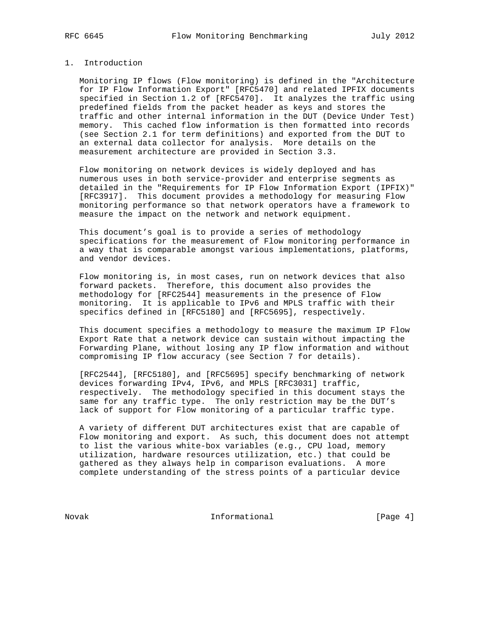# 1. Introduction

 Monitoring IP flows (Flow monitoring) is defined in the "Architecture for IP Flow Information Export" [RFC5470] and related IPFIX documents specified in Section 1.2 of [RFC5470]. It analyzes the traffic using predefined fields from the packet header as keys and stores the traffic and other internal information in the DUT (Device Under Test) memory. This cached flow information is then formatted into records (see Section 2.1 for term definitions) and exported from the DUT to an external data collector for analysis. More details on the measurement architecture are provided in Section 3.3.

 Flow monitoring on network devices is widely deployed and has numerous uses in both service-provider and enterprise segments as detailed in the "Requirements for IP Flow Information Export (IPFIX)" [RFC3917]. This document provides a methodology for measuring Flow monitoring performance so that network operators have a framework to measure the impact on the network and network equipment.

 This document's goal is to provide a series of methodology specifications for the measurement of Flow monitoring performance in a way that is comparable amongst various implementations, platforms, and vendor devices.

 Flow monitoring is, in most cases, run on network devices that also forward packets. Therefore, this document also provides the methodology for [RFC2544] measurements in the presence of Flow monitoring. It is applicable to IPv6 and MPLS traffic with their specifics defined in [RFC5180] and [RFC5695], respectively.

 This document specifies a methodology to measure the maximum IP Flow Export Rate that a network device can sustain without impacting the Forwarding Plane, without losing any IP flow information and without compromising IP flow accuracy (see Section 7 for details).

 [RFC2544], [RFC5180], and [RFC5695] specify benchmarking of network devices forwarding IPv4, IPv6, and MPLS [RFC3031] traffic, respectively. The methodology specified in this document stays the same for any traffic type. The only restriction may be the DUT's lack of support for Flow monitoring of a particular traffic type.

 A variety of different DUT architectures exist that are capable of Flow monitoring and export. As such, this document does not attempt to list the various white-box variables (e.g., CPU load, memory utilization, hardware resources utilization, etc.) that could be gathered as they always help in comparison evaluations. A more complete understanding of the stress points of a particular device

Novak 1nformational 1992 [Page 4]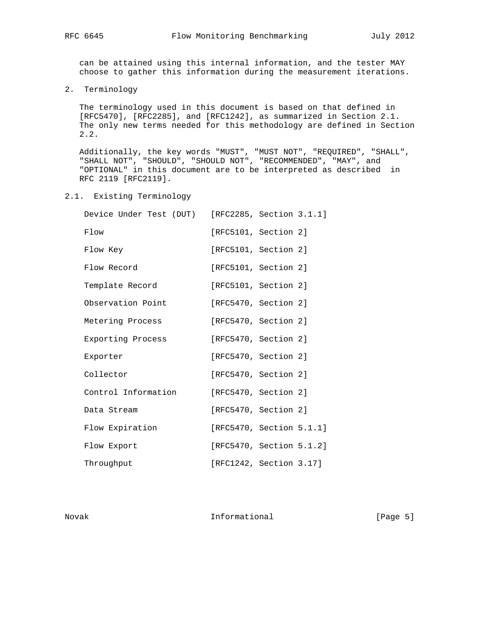can be attained using this internal information, and the tester MAY choose to gather this information during the measurement iterations.

2. Terminology

 The terminology used in this document is based on that defined in [RFC5470], [RFC2285], and [RFC1242], as summarized in Section 2.1. The only new terms needed for this methodology are defined in Section 2.2.

 Additionally, the key words "MUST", "MUST NOT", "REQUIRED", "SHALL", "SHALL NOT", "SHOULD", "SHOULD NOT", "RECOMMENDED", "MAY", and "OPTIONAL" in this document are to be interpreted as described in RFC 2119 [RFC2119].

2.1. Existing Terminology

| Device Under Test (DUT) | [RFC2285, Section 3.1.1] |  |
|-------------------------|--------------------------|--|
| Flow                    | [RFC5101, Section 2]     |  |
| Flow Key                | [RFC5101, Section 2]     |  |
| Flow Record             | [RFC5101, Section 2]     |  |
| Template Record         | [RFC5101, Section 2]     |  |
| Observation Point       | [RFC5470, Section 2]     |  |
| Metering Process        | [RFC5470, Section 2]     |  |
| Exporting Process       | [RFC5470, Section 2]     |  |
| Exporter                | [RFC5470, Section 2]     |  |
| Collector               | [RFC5470, Section 2]     |  |
| Control Information     | [RFC5470, Section 2]     |  |
| Data Stream             | [RFC5470, Section 2]     |  |
| Flow Expiration         | [RFC5470, Section 5.1.1] |  |
| Flow Export             | [RFC5470, Section 5.1.2] |  |
| Throughput              | [RFC1242, Section 3.17]  |  |

Novak 1nformational 1998 [Page 5]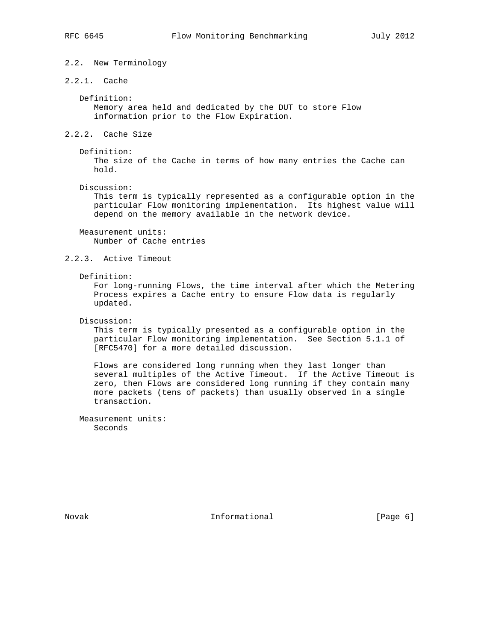# 2.2. New Terminology

2.2.1. Cache

 Definition: Memory area held and dedicated by the DUT to store Flow information prior to the Flow Expiration.

- 2.2.2. Cache Size
	- Definition:

 The size of the Cache in terms of how many entries the Cache can hold.

Discussion:

 This term is typically represented as a configurable option in the particular Flow monitoring implementation. Its highest value will depend on the memory available in the network device.

 Measurement units: Number of Cache entries

# 2.2.3. Active Timeout

Definition:

 For long-running Flows, the time interval after which the Metering Process expires a Cache entry to ensure Flow data is regularly updated.

Discussion:

 This term is typically presented as a configurable option in the particular Flow monitoring implementation. See Section 5.1.1 of [RFC5470] for a more detailed discussion.

 Flows are considered long running when they last longer than several multiples of the Active Timeout. If the Active Timeout is zero, then Flows are considered long running if they contain many more packets (tens of packets) than usually observed in a single transaction.

 Measurement units: Seconds

Novak **Informational Informational** [Page 6]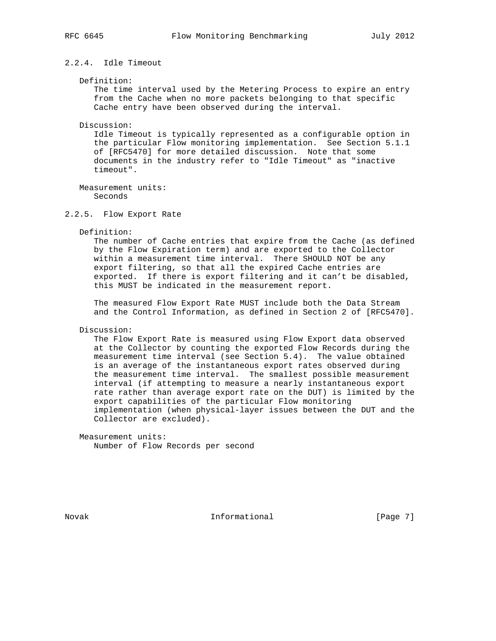# 2.2.4. Idle Timeout

#### Definition:

 The time interval used by the Metering Process to expire an entry from the Cache when no more packets belonging to that specific Cache entry have been observed during the interval.

#### Discussion:

 Idle Timeout is typically represented as a configurable option in the particular Flow monitoring implementation. See Section 5.1.1 of [RFC5470] for more detailed discussion. Note that some documents in the industry refer to "Idle Timeout" as "inactive timeout".

 Measurement units: Seconds

### 2.2.5. Flow Export Rate

#### Definition:

 The number of Cache entries that expire from the Cache (as defined by the Flow Expiration term) and are exported to the Collector within a measurement time interval. There SHOULD NOT be any export filtering, so that all the expired Cache entries are exported. If there is export filtering and it can't be disabled, this MUST be indicated in the measurement report.

 The measured Flow Export Rate MUST include both the Data Stream and the Control Information, as defined in Section 2 of [RFC5470].

# Discussion:

 The Flow Export Rate is measured using Flow Export data observed at the Collector by counting the exported Flow Records during the measurement time interval (see Section 5.4). The value obtained is an average of the instantaneous export rates observed during the measurement time interval. The smallest possible measurement interval (if attempting to measure a nearly instantaneous export rate rather than average export rate on the DUT) is limited by the export capabilities of the particular Flow monitoring implementation (when physical-layer issues between the DUT and the Collector are excluded).

 Measurement units: Number of Flow Records per second

Novak **Informational Informational** [Page 7]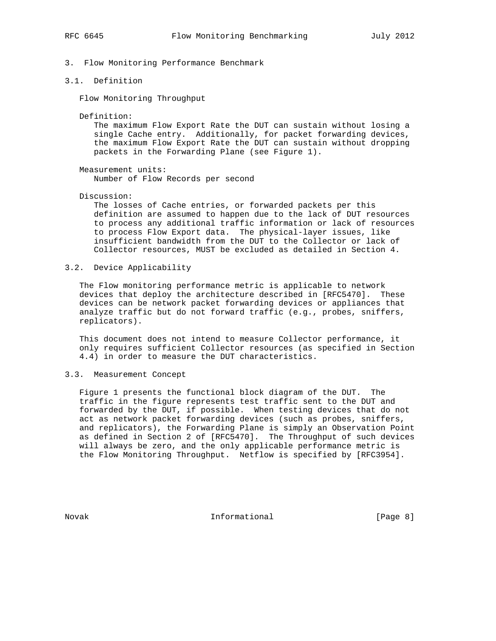- 3. Flow Monitoring Performance Benchmark
- 3.1. Definition

Flow Monitoring Throughput

Definition:

 The maximum Flow Export Rate the DUT can sustain without losing a single Cache entry. Additionally, for packet forwarding devices, the maximum Flow Export Rate the DUT can sustain without dropping packets in the Forwarding Plane (see Figure 1).

Measurement units:

Number of Flow Records per second

Discussion:

 The losses of Cache entries, or forwarded packets per this definition are assumed to happen due to the lack of DUT resources to process any additional traffic information or lack of resources to process Flow Export data. The physical-layer issues, like insufficient bandwidth from the DUT to the Collector or lack of Collector resources, MUST be excluded as detailed in Section 4.

3.2. Device Applicability

 The Flow monitoring performance metric is applicable to network devices that deploy the architecture described in [RFC5470]. These devices can be network packet forwarding devices or appliances that analyze traffic but do not forward traffic (e.g., probes, sniffers, replicators).

 This document does not intend to measure Collector performance, it only requires sufficient Collector resources (as specified in Section 4.4) in order to measure the DUT characteristics.

3.3. Measurement Concept

 Figure 1 presents the functional block diagram of the DUT. The traffic in the figure represents test traffic sent to the DUT and forwarded by the DUT, if possible. When testing devices that do not act as network packet forwarding devices (such as probes, sniffers, and replicators), the Forwarding Plane is simply an Observation Point as defined in Section 2 of [RFC5470]. The Throughput of such devices will always be zero, and the only applicable performance metric is the Flow Monitoring Throughput. Netflow is specified by [RFC3954].

Novak **Informational Informational** [Page 8]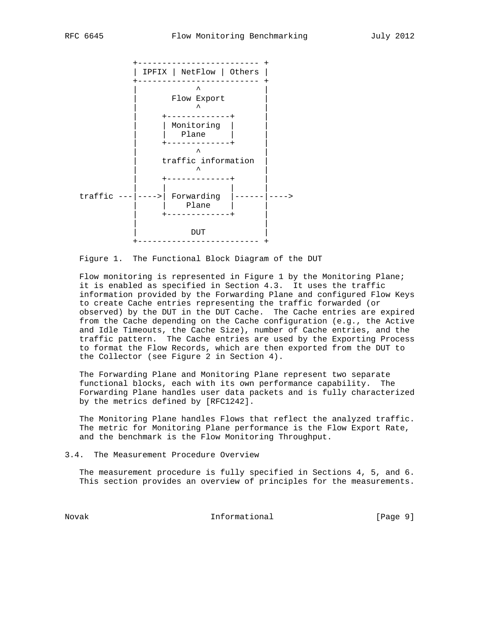

Figure 1. The Functional Block Diagram of the DUT

 Flow monitoring is represented in Figure 1 by the Monitoring Plane; it is enabled as specified in Section 4.3. It uses the traffic information provided by the Forwarding Plane and configured Flow Keys to create Cache entries representing the traffic forwarded (or observed) by the DUT in the DUT Cache. The Cache entries are expired from the Cache depending on the Cache configuration (e.g., the Active and Idle Timeouts, the Cache Size), number of Cache entries, and the traffic pattern. The Cache entries are used by the Exporting Process to format the Flow Records, which are then exported from the DUT to the Collector (see Figure 2 in Section 4).

 The Forwarding Plane and Monitoring Plane represent two separate functional blocks, each with its own performance capability. The Forwarding Plane handles user data packets and is fully characterized by the metrics defined by [RFC1242].

 The Monitoring Plane handles Flows that reflect the analyzed traffic. The metric for Monitoring Plane performance is the Flow Export Rate, and the benchmark is the Flow Monitoring Throughput.

3.4. The Measurement Procedure Overview

 The measurement procedure is fully specified in Sections 4, 5, and 6. This section provides an overview of principles for the measurements.

Novak Informational [Page 9]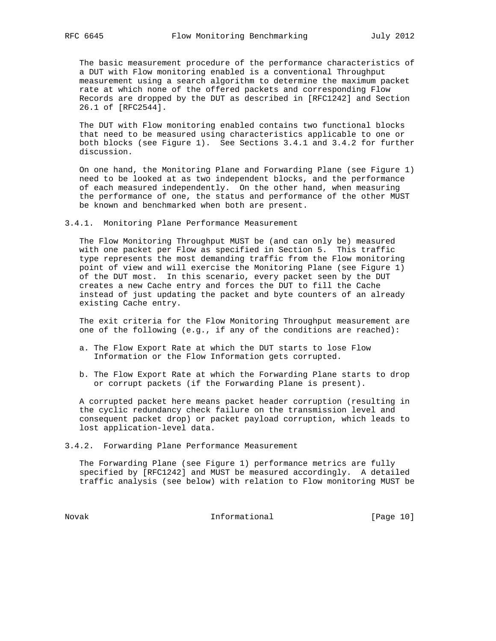The basic measurement procedure of the performance characteristics of a DUT with Flow monitoring enabled is a conventional Throughput measurement using a search algorithm to determine the maximum packet rate at which none of the offered packets and corresponding Flow Records are dropped by the DUT as described in [RFC1242] and Section 26.1 of [RFC2544].

 The DUT with Flow monitoring enabled contains two functional blocks that need to be measured using characteristics applicable to one or both blocks (see Figure 1). See Sections 3.4.1 and 3.4.2 for further discussion.

 On one hand, the Monitoring Plane and Forwarding Plane (see Figure 1) need to be looked at as two independent blocks, and the performance of each measured independently. On the other hand, when measuring the performance of one, the status and performance of the other MUST be known and benchmarked when both are present.

3.4.1. Monitoring Plane Performance Measurement

 The Flow Monitoring Throughput MUST be (and can only be) measured with one packet per Flow as specified in Section 5. This traffic type represents the most demanding traffic from the Flow monitoring point of view and will exercise the Monitoring Plane (see Figure 1) of the DUT most. In this scenario, every packet seen by the DUT creates a new Cache entry and forces the DUT to fill the Cache instead of just updating the packet and byte counters of an already existing Cache entry.

 The exit criteria for the Flow Monitoring Throughput measurement are one of the following (e.g., if any of the conditions are reached):

- a. The Flow Export Rate at which the DUT starts to lose Flow Information or the Flow Information gets corrupted.
- b. The Flow Export Rate at which the Forwarding Plane starts to drop or corrupt packets (if the Forwarding Plane is present).

 A corrupted packet here means packet header corruption (resulting in the cyclic redundancy check failure on the transmission level and consequent packet drop) or packet payload corruption, which leads to lost application-level data.

3.4.2. Forwarding Plane Performance Measurement

 The Forwarding Plane (see Figure 1) performance metrics are fully specified by [RFC1242] and MUST be measured accordingly. A detailed traffic analysis (see below) with relation to Flow monitoring MUST be

Novak 1nformational [Page 10]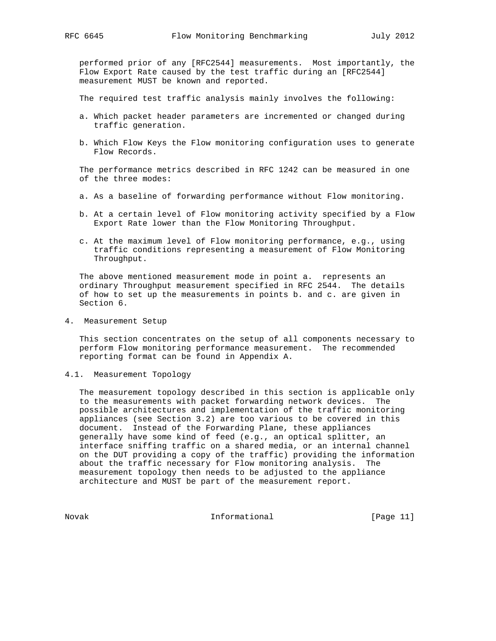performed prior of any [RFC2544] measurements. Most importantly, the Flow Export Rate caused by the test traffic during an [RFC2544] measurement MUST be known and reported.

The required test traffic analysis mainly involves the following:

- a. Which packet header parameters are incremented or changed during traffic generation.
- b. Which Flow Keys the Flow monitoring configuration uses to generate Flow Records.

 The performance metrics described in RFC 1242 can be measured in one of the three modes:

- a. As a baseline of forwarding performance without Flow monitoring.
- b. At a certain level of Flow monitoring activity specified by a Flow Export Rate lower than the Flow Monitoring Throughput.
- c. At the maximum level of Flow monitoring performance, e.g., using traffic conditions representing a measurement of Flow Monitoring Throughput.

 The above mentioned measurement mode in point a. represents an ordinary Throughput measurement specified in RFC 2544. The details of how to set up the measurements in points b. and c. are given in Section 6.

4. Measurement Setup

 This section concentrates on the setup of all components necessary to perform Flow monitoring performance measurement. The recommended reporting format can be found in Appendix A.

4.1. Measurement Topology

 The measurement topology described in this section is applicable only to the measurements with packet forwarding network devices. The possible architectures and implementation of the traffic monitoring appliances (see Section 3.2) are too various to be covered in this document. Instead of the Forwarding Plane, these appliances generally have some kind of feed (e.g., an optical splitter, an interface sniffing traffic on a shared media, or an internal channel on the DUT providing a copy of the traffic) providing the information about the traffic necessary for Flow monitoring analysis. The measurement topology then needs to be adjusted to the appliance architecture and MUST be part of the measurement report.

Novak Informational [Page 11]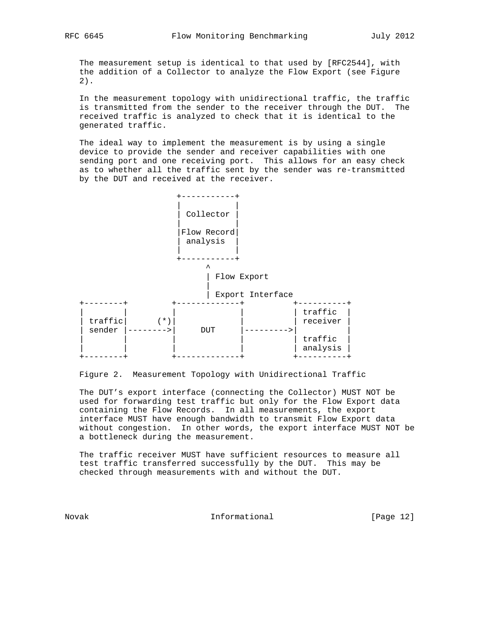The measurement setup is identical to that used by [RFC2544], with the addition of a Collector to analyze the Flow Export (see Figure 2).

 In the measurement topology with unidirectional traffic, the traffic is transmitted from the sender to the receiver through the DUT. The received traffic is analyzed to check that it is identical to the generated traffic.

 The ideal way to implement the measurement is by using a single device to provide the sender and receiver capabilities with one sending port and one receiving port. This allows for an easy check as to whether all the traffic sent by the sender was re-transmitted by the DUT and received at the receiver.



Figure 2. Measurement Topology with Unidirectional Traffic

 The DUT's export interface (connecting the Collector) MUST NOT be used for forwarding test traffic but only for the Flow Export data containing the Flow Records. In all measurements, the export interface MUST have enough bandwidth to transmit Flow Export data without congestion. In other words, the export interface MUST NOT be a bottleneck during the measurement.

 The traffic receiver MUST have sufficient resources to measure all test traffic transferred successfully by the DUT. This may be checked through measurements with and without the DUT.

Novak **Informational Informational** [Page 12]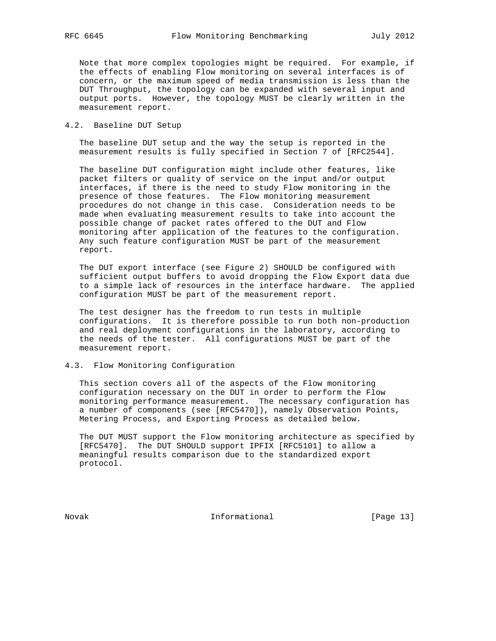Note that more complex topologies might be required. For example, if the effects of enabling Flow monitoring on several interfaces is of concern, or the maximum speed of media transmission is less than the DUT Throughput, the topology can be expanded with several input and output ports. However, the topology MUST be clearly written in the measurement report.

# 4.2. Baseline DUT Setup

 The baseline DUT setup and the way the setup is reported in the measurement results is fully specified in Section 7 of [RFC2544].

 The baseline DUT configuration might include other features, like packet filters or quality of service on the input and/or output interfaces, if there is the need to study Flow monitoring in the presence of those features. The Flow monitoring measurement procedures do not change in this case. Consideration needs to be made when evaluating measurement results to take into account the possible change of packet rates offered to the DUT and Flow monitoring after application of the features to the configuration. Any such feature configuration MUST be part of the measurement report.

 The DUT export interface (see Figure 2) SHOULD be configured with sufficient output buffers to avoid dropping the Flow Export data due to a simple lack of resources in the interface hardware. The applied configuration MUST be part of the measurement report.

 The test designer has the freedom to run tests in multiple configurations. It is therefore possible to run both non-production and real deployment configurations in the laboratory, according to the needs of the tester. All configurations MUST be part of the measurement report.

# 4.3. Flow Monitoring Configuration

 This section covers all of the aspects of the Flow monitoring configuration necessary on the DUT in order to perform the Flow monitoring performance measurement. The necessary configuration has a number of components (see [RFC5470]), namely Observation Points, Metering Process, and Exporting Process as detailed below.

 The DUT MUST support the Flow monitoring architecture as specified by [RFC5470]. The DUT SHOULD support IPFIX [RFC5101] to allow a meaningful results comparison due to the standardized export protocol.

Novak 1nformational [Page 13]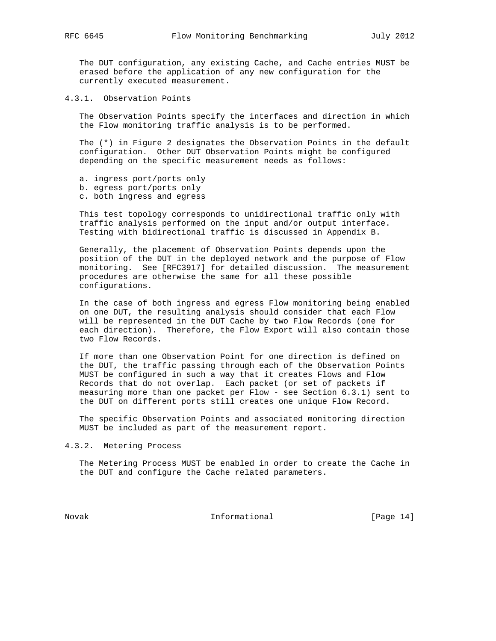The DUT configuration, any existing Cache, and Cache entries MUST be erased before the application of any new configuration for the currently executed measurement.

4.3.1. Observation Points

 The Observation Points specify the interfaces and direction in which the Flow monitoring traffic analysis is to be performed.

 The (\*) in Figure 2 designates the Observation Points in the default configuration. Other DUT Observation Points might be configured depending on the specific measurement needs as follows:

- a. ingress port/ports only
- b. egress port/ports only
- c. both ingress and egress

 This test topology corresponds to unidirectional traffic only with traffic analysis performed on the input and/or output interface. Testing with bidirectional traffic is discussed in Appendix B.

 Generally, the placement of Observation Points depends upon the position of the DUT in the deployed network and the purpose of Flow monitoring. See [RFC3917] for detailed discussion. The measurement procedures are otherwise the same for all these possible configurations.

 In the case of both ingress and egress Flow monitoring being enabled on one DUT, the resulting analysis should consider that each Flow will be represented in the DUT Cache by two Flow Records (one for each direction). Therefore, the Flow Export will also contain those two Flow Records.

 If more than one Observation Point for one direction is defined on the DUT, the traffic passing through each of the Observation Points MUST be configured in such a way that it creates Flows and Flow Records that do not overlap. Each packet (or set of packets if measuring more than one packet per Flow - see Section 6.3.1) sent to the DUT on different ports still creates one unique Flow Record.

 The specific Observation Points and associated monitoring direction MUST be included as part of the measurement report.

4.3.2. Metering Process

 The Metering Process MUST be enabled in order to create the Cache in the DUT and configure the Cache related parameters.

Novak **Informational Informational** [Page 14]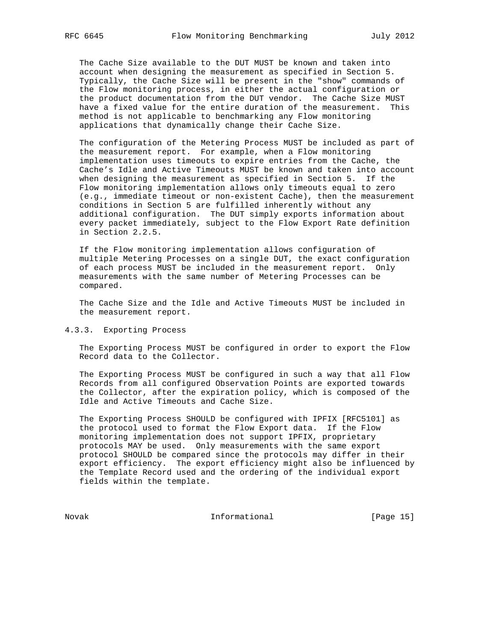The Cache Size available to the DUT MUST be known and taken into account when designing the measurement as specified in Section 5. Typically, the Cache Size will be present in the "show" commands of the Flow monitoring process, in either the actual configuration or the product documentation from the DUT vendor. The Cache Size MUST have a fixed value for the entire duration of the measurement. This method is not applicable to benchmarking any Flow monitoring applications that dynamically change their Cache Size.

 The configuration of the Metering Process MUST be included as part of the measurement report. For example, when a Flow monitoring implementation uses timeouts to expire entries from the Cache, the Cache's Idle and Active Timeouts MUST be known and taken into account when designing the measurement as specified in Section 5. If the Flow monitoring implementation allows only timeouts equal to zero (e.g., immediate timeout or non-existent Cache), then the measurement conditions in Section 5 are fulfilled inherently without any additional configuration. The DUT simply exports information about every packet immediately, subject to the Flow Export Rate definition in Section 2.2.5.

 If the Flow monitoring implementation allows configuration of multiple Metering Processes on a single DUT, the exact configuration of each process MUST be included in the measurement report. Only measurements with the same number of Metering Processes can be compared.

 The Cache Size and the Idle and Active Timeouts MUST be included in the measurement report.

# 4.3.3. Exporting Process

 The Exporting Process MUST be configured in order to export the Flow Record data to the Collector.

 The Exporting Process MUST be configured in such a way that all Flow Records from all configured Observation Points are exported towards the Collector, after the expiration policy, which is composed of the Idle and Active Timeouts and Cache Size.

 The Exporting Process SHOULD be configured with IPFIX [RFC5101] as the protocol used to format the Flow Export data. If the Flow monitoring implementation does not support IPFIX, proprietary protocols MAY be used. Only measurements with the same export protocol SHOULD be compared since the protocols may differ in their export efficiency. The export efficiency might also be influenced by the Template Record used and the ordering of the individual export fields within the template.

Novak Informational [Page 15]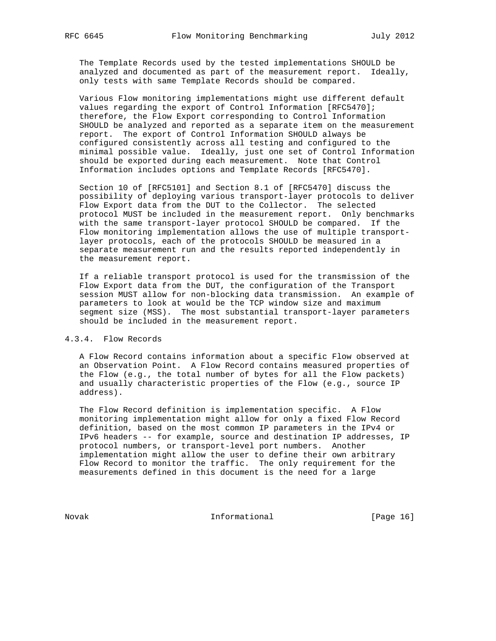The Template Records used by the tested implementations SHOULD be analyzed and documented as part of the measurement report. Ideally, only tests with same Template Records should be compared.

 Various Flow monitoring implementations might use different default values regarding the export of Control Information [RFC5470]; therefore, the Flow Export corresponding to Control Information SHOULD be analyzed and reported as a separate item on the measurement report. The export of Control Information SHOULD always be configured consistently across all testing and configured to the minimal possible value. Ideally, just one set of Control Information should be exported during each measurement. Note that Control Information includes options and Template Records [RFC5470].

 Section 10 of [RFC5101] and Section 8.1 of [RFC5470] discuss the possibility of deploying various transport-layer protocols to deliver Flow Export data from the DUT to the Collector. The selected protocol MUST be included in the measurement report. Only benchmarks with the same transport-layer protocol SHOULD be compared. If the Flow monitoring implementation allows the use of multiple transport layer protocols, each of the protocols SHOULD be measured in a separate measurement run and the results reported independently in the measurement report.

 If a reliable transport protocol is used for the transmission of the Flow Export data from the DUT, the configuration of the Transport session MUST allow for non-blocking data transmission. An example of parameters to look at would be the TCP window size and maximum segment size (MSS). The most substantial transport-layer parameters should be included in the measurement report.

# 4.3.4. Flow Records

 A Flow Record contains information about a specific Flow observed at an Observation Point. A Flow Record contains measured properties of the Flow (e.g., the total number of bytes for all the Flow packets) and usually characteristic properties of the Flow (e.g., source IP address).

 The Flow Record definition is implementation specific. A Flow monitoring implementation might allow for only a fixed Flow Record definition, based on the most common IP parameters in the IPv4 or IPv6 headers -- for example, source and destination IP addresses, IP protocol numbers, or transport-level port numbers. Another implementation might allow the user to define their own arbitrary Flow Record to monitor the traffic. The only requirement for the measurements defined in this document is the need for a large

Novak Informational [Page 16]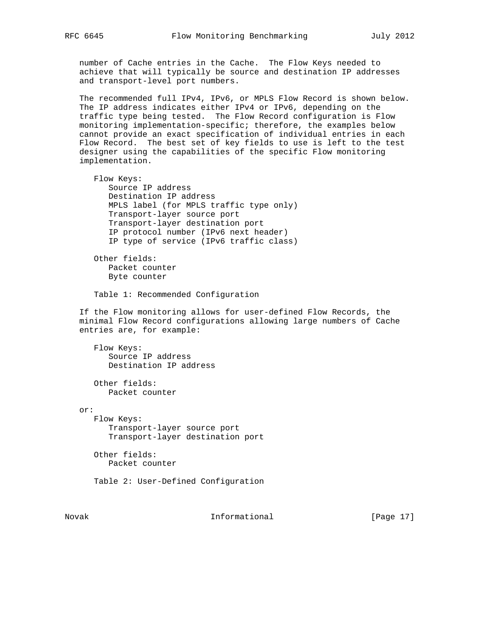number of Cache entries in the Cache. The Flow Keys needed to achieve that will typically be source and destination IP addresses and transport-level port numbers.

 The recommended full IPv4, IPv6, or MPLS Flow Record is shown below. The IP address indicates either IPv4 or IPv6, depending on the traffic type being tested. The Flow Record configuration is Flow monitoring implementation-specific; therefore, the examples below cannot provide an exact specification of individual entries in each Flow Record. The best set of key fields to use is left to the test designer using the capabilities of the specific Flow monitoring implementation.

 Flow Keys: Source IP address Destination IP address MPLS label (for MPLS traffic type only) Transport-layer source port Transport-layer destination port IP protocol number (IPv6 next header) IP type of service (IPv6 traffic class) Other fields: Packet counter Byte counter Table 1: Recommended Configuration If the Flow monitoring allows for user-defined Flow Records, the minimal Flow Record configurations allowing large numbers of Cache entries are, for example: Flow Keys: Source IP address Destination IP address Other fields: Packet counter or: Flow Keys: Transport-layer source port Transport-layer destination port Other fields: Packet counter Table 2: User-Defined Configuration

Novak **Informational Informational** [Page 17]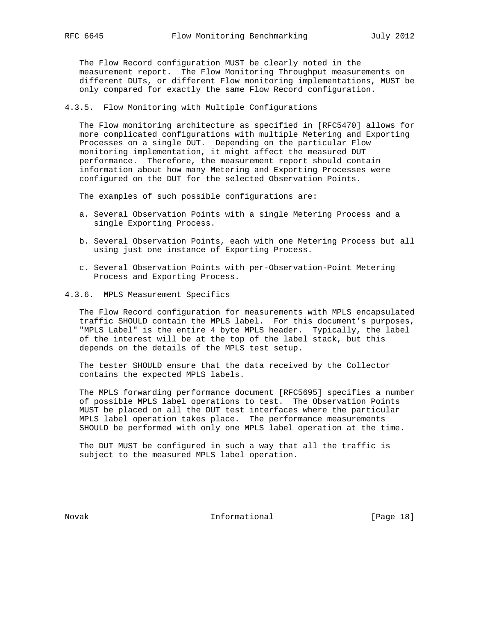The Flow Record configuration MUST be clearly noted in the measurement report. The Flow Monitoring Throughput measurements on different DUTs, or different Flow monitoring implementations, MUST be only compared for exactly the same Flow Record configuration.

4.3.5. Flow Monitoring with Multiple Configurations

 The Flow monitoring architecture as specified in [RFC5470] allows for more complicated configurations with multiple Metering and Exporting Processes on a single DUT. Depending on the particular Flow monitoring implementation, it might affect the measured DUT performance. Therefore, the measurement report should contain information about how many Metering and Exporting Processes were configured on the DUT for the selected Observation Points.

The examples of such possible configurations are:

- a. Several Observation Points with a single Metering Process and a single Exporting Process.
- b. Several Observation Points, each with one Metering Process but all using just one instance of Exporting Process.
- c. Several Observation Points with per-Observation-Point Metering Process and Exporting Process.
- 4.3.6. MPLS Measurement Specifics

 The Flow Record configuration for measurements with MPLS encapsulated traffic SHOULD contain the MPLS label. For this document's purposes, "MPLS Label" is the entire 4 byte MPLS header. Typically, the label of the interest will be at the top of the label stack, but this depends on the details of the MPLS test setup.

 The tester SHOULD ensure that the data received by the Collector contains the expected MPLS labels.

 The MPLS forwarding performance document [RFC5695] specifies a number of possible MPLS label operations to test. The Observation Points MUST be placed on all the DUT test interfaces where the particular MPLS label operation takes place. The performance measurements SHOULD be performed with only one MPLS label operation at the time.

 The DUT MUST be configured in such a way that all the traffic is subject to the measured MPLS label operation.

Novak **Informational Informational** [Page 18]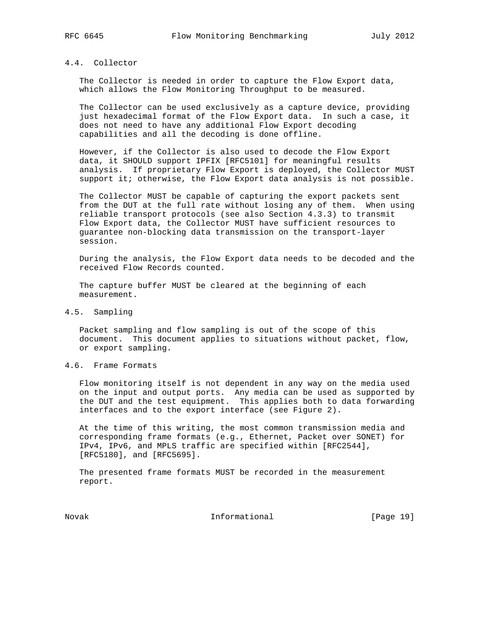# 4.4. Collector

 The Collector is needed in order to capture the Flow Export data, which allows the Flow Monitoring Throughput to be measured.

 The Collector can be used exclusively as a capture device, providing just hexadecimal format of the Flow Export data. In such a case, it does not need to have any additional Flow Export decoding capabilities and all the decoding is done offline.

 However, if the Collector is also used to decode the Flow Export data, it SHOULD support IPFIX [RFC5101] for meaningful results analysis. If proprietary Flow Export is deployed, the Collector MUST support it; otherwise, the Flow Export data analysis is not possible.

 The Collector MUST be capable of capturing the export packets sent from the DUT at the full rate without losing any of them. When using reliable transport protocols (see also Section 4.3.3) to transmit Flow Export data, the Collector MUST have sufficient resources to guarantee non-blocking data transmission on the transport-layer session.

 During the analysis, the Flow Export data needs to be decoded and the received Flow Records counted.

 The capture buffer MUST be cleared at the beginning of each measurement.

## 4.5. Sampling

 Packet sampling and flow sampling is out of the scope of this document. This document applies to situations without packet, flow, or export sampling.

# 4.6. Frame Formats

 Flow monitoring itself is not dependent in any way on the media used on the input and output ports. Any media can be used as supported by the DUT and the test equipment. This applies both to data forwarding interfaces and to the export interface (see Figure 2).

 At the time of this writing, the most common transmission media and corresponding frame formats (e.g., Ethernet, Packet over SONET) for IPv4, IPv6, and MPLS traffic are specified within [RFC2544], [RFC5180], and [RFC5695].

 The presented frame formats MUST be recorded in the measurement report.

Novak 1nformational [Page 19]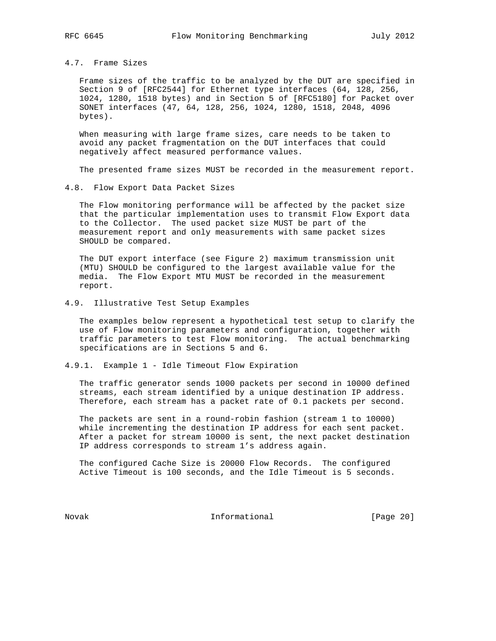# 4.7. Frame Sizes

 Frame sizes of the traffic to be analyzed by the DUT are specified in Section 9 of [RFC2544] for Ethernet type interfaces (64, 128, 256, 1024, 1280, 1518 bytes) and in Section 5 of [RFC5180] for Packet over SONET interfaces (47, 64, 128, 256, 1024, 1280, 1518, 2048, 4096 bytes).

 When measuring with large frame sizes, care needs to be taken to avoid any packet fragmentation on the DUT interfaces that could negatively affect measured performance values.

The presented frame sizes MUST be recorded in the measurement report.

4.8. Flow Export Data Packet Sizes

 The Flow monitoring performance will be affected by the packet size that the particular implementation uses to transmit Flow Export data to the Collector. The used packet size MUST be part of the measurement report and only measurements with same packet sizes SHOULD be compared.

 The DUT export interface (see Figure 2) maximum transmission unit (MTU) SHOULD be configured to the largest available value for the media. The Flow Export MTU MUST be recorded in the measurement report.

# 4.9. Illustrative Test Setup Examples

 The examples below represent a hypothetical test setup to clarify the use of Flow monitoring parameters and configuration, together with traffic parameters to test Flow monitoring. The actual benchmarking specifications are in Sections 5 and 6.

# 4.9.1. Example 1 - Idle Timeout Flow Expiration

 The traffic generator sends 1000 packets per second in 10000 defined streams, each stream identified by a unique destination IP address. Therefore, each stream has a packet rate of 0.1 packets per second.

 The packets are sent in a round-robin fashion (stream 1 to 10000) while incrementing the destination IP address for each sent packet. After a packet for stream 10000 is sent, the next packet destination IP address corresponds to stream 1's address again.

 The configured Cache Size is 20000 Flow Records. The configured Active Timeout is 100 seconds, and the Idle Timeout is 5 seconds.

Novak **Informational Informational** [Page 20]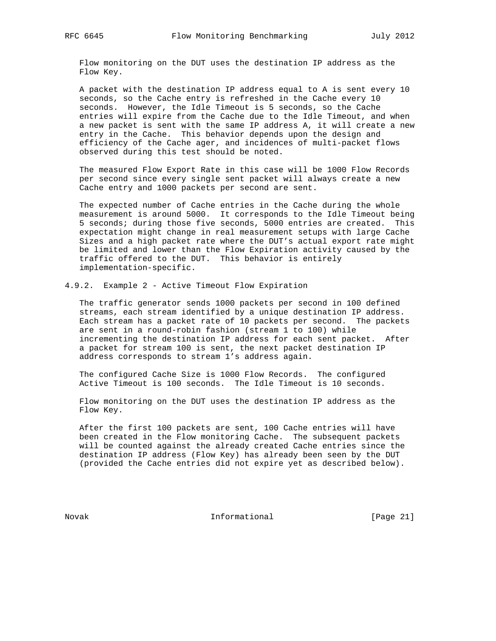Flow monitoring on the DUT uses the destination IP address as the Flow Key.

 A packet with the destination IP address equal to A is sent every 10 seconds, so the Cache entry is refreshed in the Cache every 10 seconds. However, the Idle Timeout is 5 seconds, so the Cache entries will expire from the Cache due to the Idle Timeout, and when a new packet is sent with the same IP address A, it will create a new entry in the Cache. This behavior depends upon the design and efficiency of the Cache ager, and incidences of multi-packet flows observed during this test should be noted.

 The measured Flow Export Rate in this case will be 1000 Flow Records per second since every single sent packet will always create a new Cache entry and 1000 packets per second are sent.

 The expected number of Cache entries in the Cache during the whole measurement is around 5000. It corresponds to the Idle Timeout being 5 seconds; during those five seconds, 5000 entries are created. This expectation might change in real measurement setups with large Cache Sizes and a high packet rate where the DUT's actual export rate might be limited and lower than the Flow Expiration activity caused by the traffic offered to the DUT. This behavior is entirely implementation-specific.

4.9.2. Example 2 - Active Timeout Flow Expiration

 The traffic generator sends 1000 packets per second in 100 defined streams, each stream identified by a unique destination IP address. Each stream has a packet rate of 10 packets per second. The packets are sent in a round-robin fashion (stream 1 to 100) while incrementing the destination IP address for each sent packet. After a packet for stream 100 is sent, the next packet destination IP address corresponds to stream 1's address again.

 The configured Cache Size is 1000 Flow Records. The configured Active Timeout is 100 seconds. The Idle Timeout is 10 seconds.

 Flow monitoring on the DUT uses the destination IP address as the Flow Key.

 After the first 100 packets are sent, 100 Cache entries will have been created in the Flow monitoring Cache. The subsequent packets will be counted against the already created Cache entries since the destination IP address (Flow Key) has already been seen by the DUT (provided the Cache entries did not expire yet as described below).

Novak 1nformational [Page 21]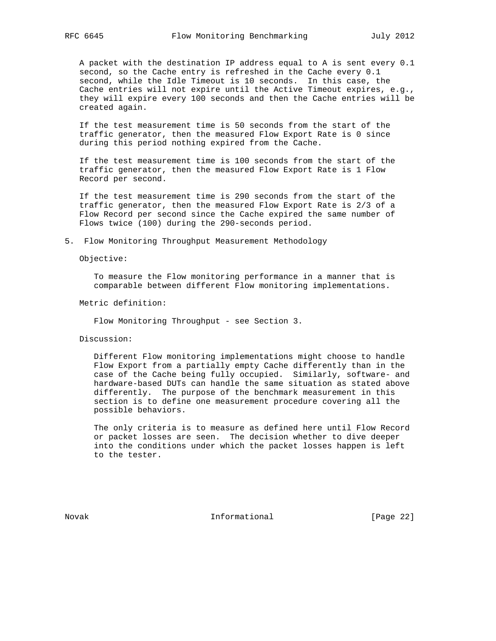A packet with the destination IP address equal to A is sent every 0.1 second, so the Cache entry is refreshed in the Cache every 0.1 second, while the Idle Timeout is 10 seconds. In this case, the Cache entries will not expire until the Active Timeout expires, e.g., they will expire every 100 seconds and then the Cache entries will be created again.

 If the test measurement time is 50 seconds from the start of the traffic generator, then the measured Flow Export Rate is 0 since during this period nothing expired from the Cache.

 If the test measurement time is 100 seconds from the start of the traffic generator, then the measured Flow Export Rate is 1 Flow Record per second.

 If the test measurement time is 290 seconds from the start of the traffic generator, then the measured Flow Export Rate is 2/3 of a Flow Record per second since the Cache expired the same number of Flows twice (100) during the 290-seconds period.

5. Flow Monitoring Throughput Measurement Methodology

Objective:

 To measure the Flow monitoring performance in a manner that is comparable between different Flow monitoring implementations.

Metric definition:

Flow Monitoring Throughput - see Section 3.

Discussion:

 Different Flow monitoring implementations might choose to handle Flow Export from a partially empty Cache differently than in the case of the Cache being fully occupied. Similarly, software- and hardware-based DUTs can handle the same situation as stated above differently. The purpose of the benchmark measurement in this section is to define one measurement procedure covering all the possible behaviors.

 The only criteria is to measure as defined here until Flow Record or packet losses are seen. The decision whether to dive deeper into the conditions under which the packet losses happen is left to the tester.

Novak Informational [Page 22]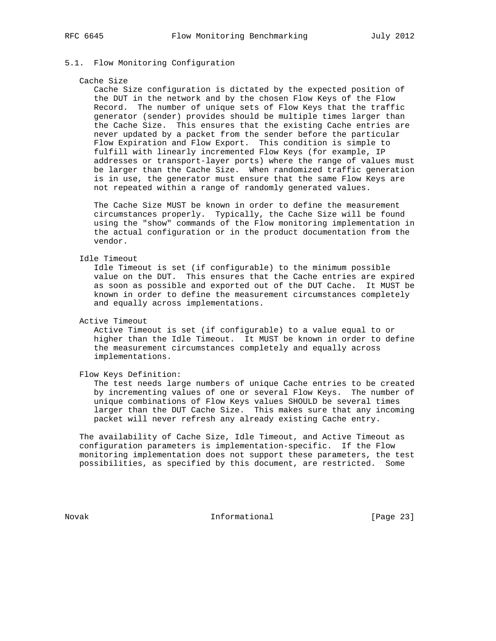# 5.1. Flow Monitoring Configuration

#### Cache Size

 Cache Size configuration is dictated by the expected position of the DUT in the network and by the chosen Flow Keys of the Flow Record. The number of unique sets of Flow Keys that the traffic generator (sender) provides should be multiple times larger than the Cache Size. This ensures that the existing Cache entries are never updated by a packet from the sender before the particular Flow Expiration and Flow Export. This condition is simple to fulfill with linearly incremented Flow Keys (for example, IP addresses or transport-layer ports) where the range of values must be larger than the Cache Size. When randomized traffic generation is in use, the generator must ensure that the same Flow Keys are not repeated within a range of randomly generated values.

 The Cache Size MUST be known in order to define the measurement circumstances properly. Typically, the Cache Size will be found using the "show" commands of the Flow monitoring implementation in the actual configuration or in the product documentation from the vendor.

# Idle Timeout

 Idle Timeout is set (if configurable) to the minimum possible value on the DUT. This ensures that the Cache entries are expired as soon as possible and exported out of the DUT Cache. It MUST be known in order to define the measurement circumstances completely and equally across implementations.

Active Timeout

 Active Timeout is set (if configurable) to a value equal to or higher than the Idle Timeout. It MUST be known in order to define the measurement circumstances completely and equally across implementations.

Flow Keys Definition:

 The test needs large numbers of unique Cache entries to be created by incrementing values of one or several Flow Keys. The number of unique combinations of Flow Keys values SHOULD be several times larger than the DUT Cache Size. This makes sure that any incoming packet will never refresh any already existing Cache entry.

 The availability of Cache Size, Idle Timeout, and Active Timeout as configuration parameters is implementation-specific. If the Flow monitoring implementation does not support these parameters, the test possibilities, as specified by this document, are restricted. Some

Novak 1nformational [Page 23]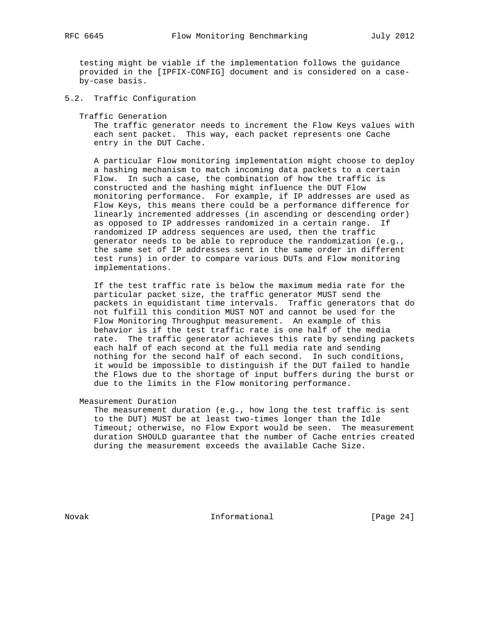testing might be viable if the implementation follows the guidance provided in the [IPFIX-CONFIG] document and is considered on a case by-case basis.

5.2. Traffic Configuration

Traffic Generation

 The traffic generator needs to increment the Flow Keys values with each sent packet. This way, each packet represents one Cache entry in the DUT Cache.

 A particular Flow monitoring implementation might choose to deploy a hashing mechanism to match incoming data packets to a certain Flow. In such a case, the combination of how the traffic is constructed and the hashing might influence the DUT Flow monitoring performance. For example, if IP addresses are used as Flow Keys, this means there could be a performance difference for linearly incremented addresses (in ascending or descending order) as opposed to IP addresses randomized in a certain range. If randomized IP address sequences are used, then the traffic generator needs to be able to reproduce the randomization (e.g., the same set of IP addresses sent in the same order in different test runs) in order to compare various DUTs and Flow monitoring implementations.

 If the test traffic rate is below the maximum media rate for the particular packet size, the traffic generator MUST send the packets in equidistant time intervals. Traffic generators that do not fulfill this condition MUST NOT and cannot be used for the Flow Monitoring Throughput measurement. An example of this behavior is if the test traffic rate is one half of the media rate. The traffic generator achieves this rate by sending packets each half of each second at the full media rate and sending nothing for the second half of each second. In such conditions, it would be impossible to distinguish if the DUT failed to handle the Flows due to the shortage of input buffers during the burst or due to the limits in the Flow monitoring performance.

Measurement Duration

 The measurement duration (e.g., how long the test traffic is sent to the DUT) MUST be at least two-times longer than the Idle Timeout; otherwise, no Flow Export would be seen. The measurement duration SHOULD guarantee that the number of Cache entries created during the measurement exceeds the available Cache Size.

Novak **Informational Informational** [Page 24]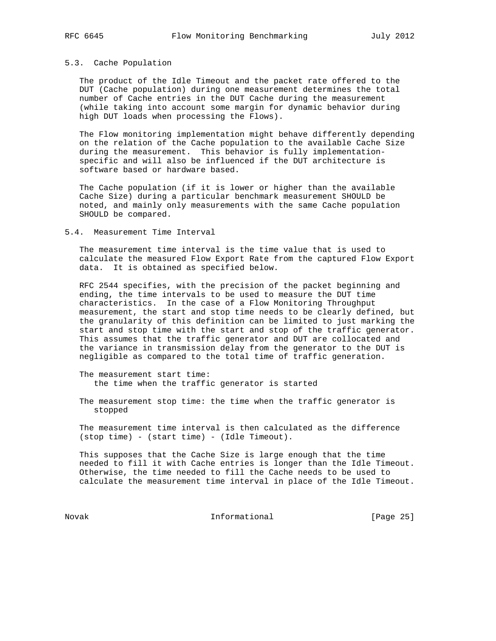### 5.3. Cache Population

 The product of the Idle Timeout and the packet rate offered to the DUT (Cache population) during one measurement determines the total number of Cache entries in the DUT Cache during the measurement (while taking into account some margin for dynamic behavior during high DUT loads when processing the Flows).

 The Flow monitoring implementation might behave differently depending on the relation of the Cache population to the available Cache Size during the measurement. This behavior is fully implementation specific and will also be influenced if the DUT architecture is software based or hardware based.

 The Cache population (if it is lower or higher than the available Cache Size) during a particular benchmark measurement SHOULD be noted, and mainly only measurements with the same Cache population SHOULD be compared.

#### 5.4. Measurement Time Interval

 The measurement time interval is the time value that is used to calculate the measured Flow Export Rate from the captured Flow Export data. It is obtained as specified below.

 RFC 2544 specifies, with the precision of the packet beginning and ending, the time intervals to be used to measure the DUT time characteristics. In the case of a Flow Monitoring Throughput measurement, the start and stop time needs to be clearly defined, but the granularity of this definition can be limited to just marking the start and stop time with the start and stop of the traffic generator. This assumes that the traffic generator and DUT are collocated and the variance in transmission delay from the generator to the DUT is negligible as compared to the total time of traffic generation.

 The measurement start time: the time when the traffic generator is started

 The measurement stop time: the time when the traffic generator is stopped

 The measurement time interval is then calculated as the difference (stop time) - (start time) - (Idle Timeout).

 This supposes that the Cache Size is large enough that the time needed to fill it with Cache entries is longer than the Idle Timeout. Otherwise, the time needed to fill the Cache needs to be used to calculate the measurement time interval in place of the Idle Timeout.

Novak 1nformational [Page 25]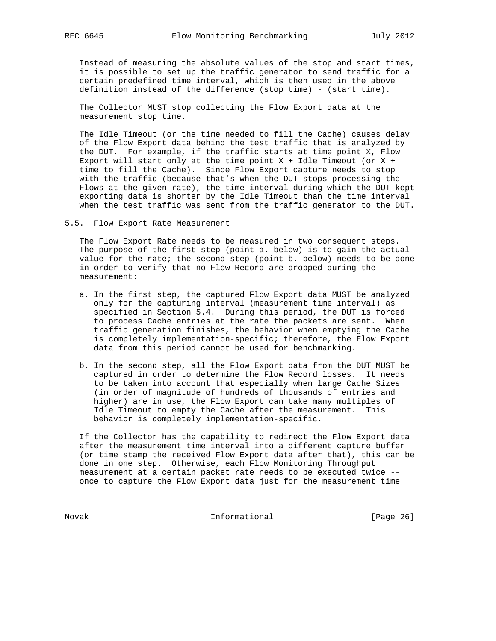Instead of measuring the absolute values of the stop and start times, it is possible to set up the traffic generator to send traffic for a certain predefined time interval, which is then used in the above definition instead of the difference (stop time) - (start time).

 The Collector MUST stop collecting the Flow Export data at the measurement stop time.

 The Idle Timeout (or the time needed to fill the Cache) causes delay of the Flow Export data behind the test traffic that is analyzed by the DUT. For example, if the traffic starts at time point X, Flow Export will start only at the time point  $X +$  Idle Timeout (or  $X +$  time to fill the Cache). Since Flow Export capture needs to stop with the traffic (because that's when the DUT stops processing the Flows at the given rate), the time interval during which the DUT kept exporting data is shorter by the Idle Timeout than the time interval when the test traffic was sent from the traffic generator to the DUT.

5.5. Flow Export Rate Measurement

 The Flow Export Rate needs to be measured in two consequent steps. The purpose of the first step (point a. below) is to gain the actual value for the rate; the second step (point b. below) needs to be done in order to verify that no Flow Record are dropped during the measurement:

- a. In the first step, the captured Flow Export data MUST be analyzed only for the capturing interval (measurement time interval) as specified in Section 5.4. During this period, the DUT is forced to process Cache entries at the rate the packets are sent. When traffic generation finishes, the behavior when emptying the Cache is completely implementation-specific; therefore, the Flow Export data from this period cannot be used for benchmarking.
- b. In the second step, all the Flow Export data from the DUT MUST be captured in order to determine the Flow Record losses. It needs to be taken into account that especially when large Cache Sizes (in order of magnitude of hundreds of thousands of entries and higher) are in use, the Flow Export can take many multiples of Idle Timeout to empty the Cache after the measurement. This behavior is completely implementation-specific.

 If the Collector has the capability to redirect the Flow Export data after the measurement time interval into a different capture buffer (or time stamp the received Flow Export data after that), this can be done in one step. Otherwise, each Flow Monitoring Throughput measurement at a certain packet rate needs to be executed twice - once to capture the Flow Export data just for the measurement time

Novak **Informational** [Page 26]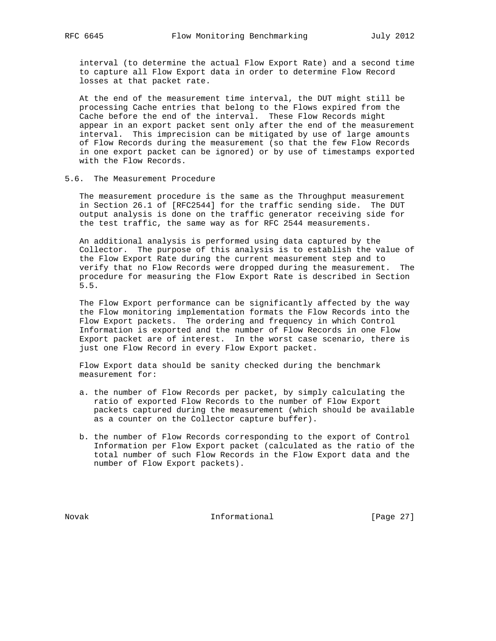interval (to determine the actual Flow Export Rate) and a second time to capture all Flow Export data in order to determine Flow Record losses at that packet rate.

 At the end of the measurement time interval, the DUT might still be processing Cache entries that belong to the Flows expired from the Cache before the end of the interval. These Flow Records might appear in an export packet sent only after the end of the measurement interval. This imprecision can be mitigated by use of large amounts of Flow Records during the measurement (so that the few Flow Records in one export packet can be ignored) or by use of timestamps exported with the Flow Records.

# 5.6. The Measurement Procedure

 The measurement procedure is the same as the Throughput measurement in Section 26.1 of [RFC2544] for the traffic sending side. The DUT output analysis is done on the traffic generator receiving side for the test traffic, the same way as for RFC 2544 measurements.

 An additional analysis is performed using data captured by the Collector. The purpose of this analysis is to establish the value of the Flow Export Rate during the current measurement step and to verify that no Flow Records were dropped during the measurement. The procedure for measuring the Flow Export Rate is described in Section 5.5.

 The Flow Export performance can be significantly affected by the way the Flow monitoring implementation formats the Flow Records into the Flow Export packets. The ordering and frequency in which Control Information is exported and the number of Flow Records in one Flow Export packet are of interest. In the worst case scenario, there is just one Flow Record in every Flow Export packet.

 Flow Export data should be sanity checked during the benchmark measurement for:

- a. the number of Flow Records per packet, by simply calculating the ratio of exported Flow Records to the number of Flow Export packets captured during the measurement (which should be available as a counter on the Collector capture buffer).
- b. the number of Flow Records corresponding to the export of Control Information per Flow Export packet (calculated as the ratio of the total number of such Flow Records in the Flow Export data and the number of Flow Export packets).

Novak **Informational Informational** [Page 27]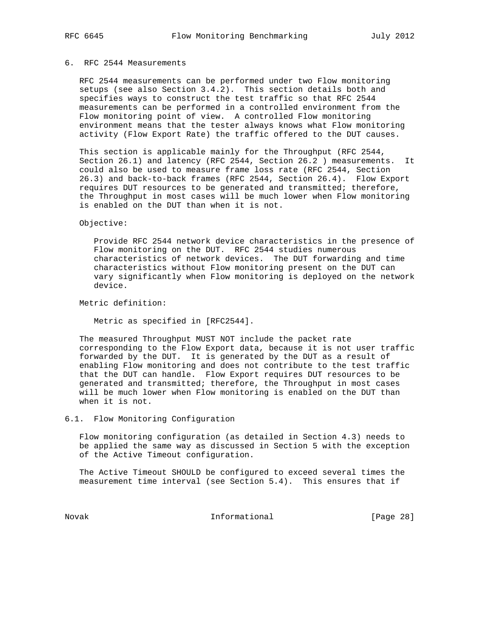# 6. RFC 2544 Measurements

 RFC 2544 measurements can be performed under two Flow monitoring setups (see also Section 3.4.2). This section details both and specifies ways to construct the test traffic so that RFC 2544 measurements can be performed in a controlled environment from the Flow monitoring point of view. A controlled Flow monitoring environment means that the tester always knows what Flow monitoring activity (Flow Export Rate) the traffic offered to the DUT causes.

 This section is applicable mainly for the Throughput (RFC 2544, Section 26.1) and latency (RFC 2544, Section 26.2 ) measurements. It could also be used to measure frame loss rate (RFC 2544, Section 26.3) and back-to-back frames (RFC 2544, Section 26.4). Flow Export requires DUT resources to be generated and transmitted; therefore, the Throughput in most cases will be much lower when Flow monitoring is enabled on the DUT than when it is not.

#### Objective:

 Provide RFC 2544 network device characteristics in the presence of Flow monitoring on the DUT. RFC 2544 studies numerous characteristics of network devices. The DUT forwarding and time characteristics without Flow monitoring present on the DUT can vary significantly when Flow monitoring is deployed on the network device.

Metric definition:

Metric as specified in [RFC2544].

 The measured Throughput MUST NOT include the packet rate corresponding to the Flow Export data, because it is not user traffic forwarded by the DUT. It is generated by the DUT as a result of enabling Flow monitoring and does not contribute to the test traffic that the DUT can handle. Flow Export requires DUT resources to be generated and transmitted; therefore, the Throughput in most cases will be much lower when Flow monitoring is enabled on the DUT than when it is not.

# 6.1. Flow Monitoring Configuration

 Flow monitoring configuration (as detailed in Section 4.3) needs to be applied the same way as discussed in Section 5 with the exception of the Active Timeout configuration.

 The Active Timeout SHOULD be configured to exceed several times the measurement time interval (see Section 5.4). This ensures that if

Novak **Informational Informational** [Page 28]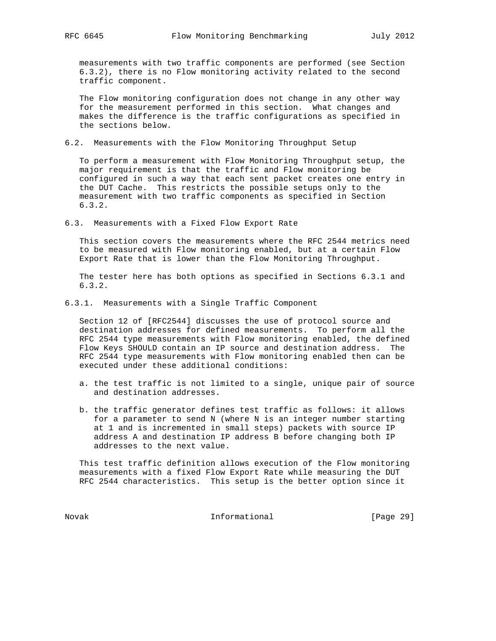measurements with two traffic components are performed (see Section 6.3.2), there is no Flow monitoring activity related to the second traffic component.

 The Flow monitoring configuration does not change in any other way for the measurement performed in this section. What changes and makes the difference is the traffic configurations as specified in the sections below.

6.2. Measurements with the Flow Monitoring Throughput Setup

 To perform a measurement with Flow Monitoring Throughput setup, the major requirement is that the traffic and Flow monitoring be configured in such a way that each sent packet creates one entry in the DUT Cache. This restricts the possible setups only to the measurement with two traffic components as specified in Section 6.3.2.

6.3. Measurements with a Fixed Flow Export Rate

 This section covers the measurements where the RFC 2544 metrics need to be measured with Flow monitoring enabled, but at a certain Flow Export Rate that is lower than the Flow Monitoring Throughput.

 The tester here has both options as specified in Sections 6.3.1 and 6.3.2.

6.3.1. Measurements with a Single Traffic Component

 Section 12 of [RFC2544] discusses the use of protocol source and destination addresses for defined measurements. To perform all the RFC 2544 type measurements with Flow monitoring enabled, the defined Flow Keys SHOULD contain an IP source and destination address. The RFC 2544 type measurements with Flow monitoring enabled then can be executed under these additional conditions:

- a. the test traffic is not limited to a single, unique pair of source and destination addresses.
- b. the traffic generator defines test traffic as follows: it allows for a parameter to send N (where N is an integer number starting at 1 and is incremented in small steps) packets with source IP address A and destination IP address B before changing both IP addresses to the next value.

 This test traffic definition allows execution of the Flow monitoring measurements with a fixed Flow Export Rate while measuring the DUT RFC 2544 characteristics. This setup is the better option since it

Novak **Informational Informational** [Page 29]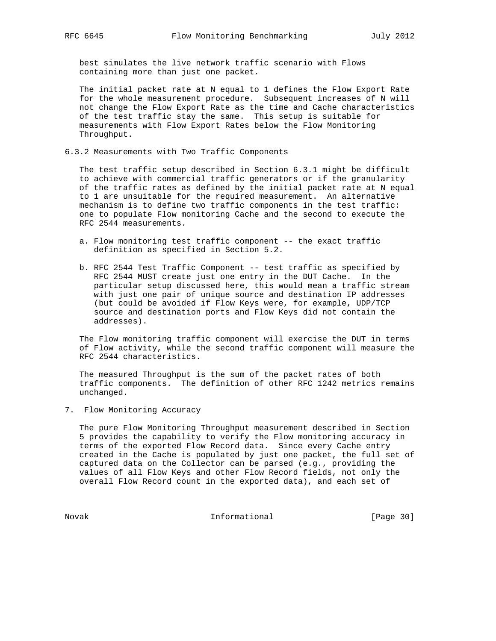best simulates the live network traffic scenario with Flows containing more than just one packet.

 The initial packet rate at N equal to 1 defines the Flow Export Rate for the whole measurement procedure. Subsequent increases of N will not change the Flow Export Rate as the time and Cache characteristics of the test traffic stay the same. This setup is suitable for measurements with Flow Export Rates below the Flow Monitoring Throughput.

6.3.2 Measurements with Two Traffic Components

 The test traffic setup described in Section 6.3.1 might be difficult to achieve with commercial traffic generators or if the granularity of the traffic rates as defined by the initial packet rate at N equal to 1 are unsuitable for the required measurement. An alternative mechanism is to define two traffic components in the test traffic: one to populate Flow monitoring Cache and the second to execute the RFC 2544 measurements.

- a. Flow monitoring test traffic component -- the exact traffic definition as specified in Section 5.2.
- b. RFC 2544 Test Traffic Component -- test traffic as specified by RFC 2544 MUST create just one entry in the DUT Cache. In the particular setup discussed here, this would mean a traffic stream with just one pair of unique source and destination IP addresses (but could be avoided if Flow Keys were, for example, UDP/TCP source and destination ports and Flow Keys did not contain the addresses).

 The Flow monitoring traffic component will exercise the DUT in terms of Flow activity, while the second traffic component will measure the RFC 2544 characteristics.

 The measured Throughput is the sum of the packet rates of both traffic components. The definition of other RFC 1242 metrics remains unchanged.

7. Flow Monitoring Accuracy

 The pure Flow Monitoring Throughput measurement described in Section 5 provides the capability to verify the Flow monitoring accuracy in terms of the exported Flow Record data. Since every Cache entry created in the Cache is populated by just one packet, the full set of captured data on the Collector can be parsed (e.g., providing the values of all Flow Keys and other Flow Record fields, not only the overall Flow Record count in the exported data), and each set of

Novak 1nformational [Page 30]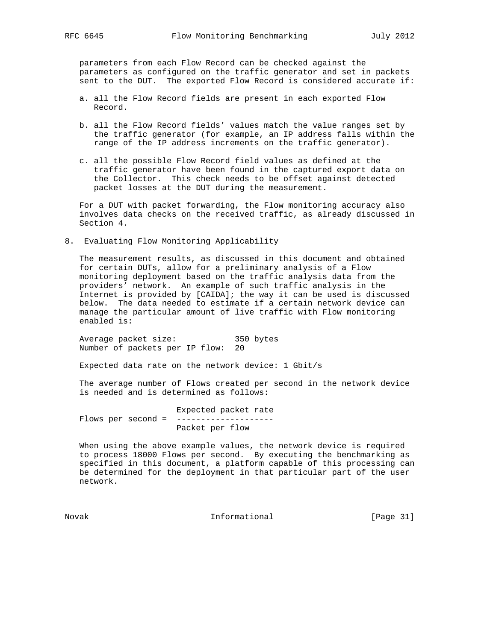parameters from each Flow Record can be checked against the parameters as configured on the traffic generator and set in packets sent to the DUT. The exported Flow Record is considered accurate if:

- a. all the Flow Record fields are present in each exported Flow Record.
- b. all the Flow Record fields' values match the value ranges set by the traffic generator (for example, an IP address falls within the range of the IP address increments on the traffic generator).
- c. all the possible Flow Record field values as defined at the traffic generator have been found in the captured export data on the Collector. This check needs to be offset against detected packet losses at the DUT during the measurement.

 For a DUT with packet forwarding, the Flow monitoring accuracy also involves data checks on the received traffic, as already discussed in Section 4.

8. Evaluating Flow Monitoring Applicability

 The measurement results, as discussed in this document and obtained for certain DUTs, allow for a preliminary analysis of a Flow monitoring deployment based on the traffic analysis data from the providers' network. An example of such traffic analysis in the Internet is provided by [CAIDA]; the way it can be used is discussed below. The data needed to estimate if a certain network device can manage the particular amount of live traffic with Flow monitoring enabled is:

 Average packet size: 350 bytes Number of packets per IP flow: 20

Expected data rate on the network device: 1 Gbit/s

 The average number of Flows created per second in the network device is needed and is determined as follows:

 Expected packet rate Flows per second = -------------------- Packet per flow

 When using the above example values, the network device is required to process 18000 Flows per second. By executing the benchmarking as specified in this document, a platform capable of this processing can be determined for the deployment in that particular part of the user network.

Novak 1nformational [Page 31]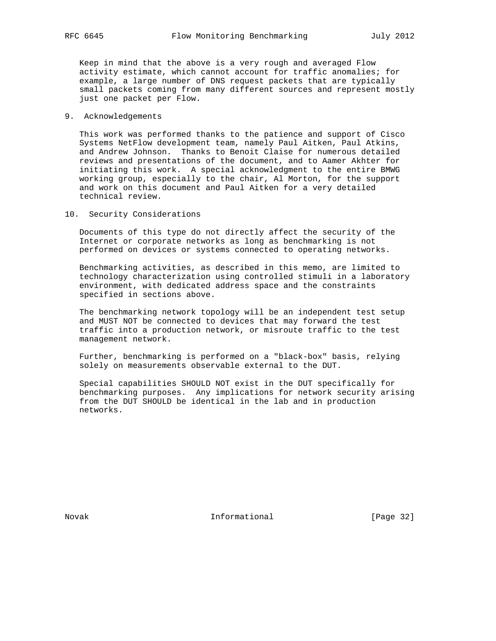Keep in mind that the above is a very rough and averaged Flow activity estimate, which cannot account for traffic anomalies; for example, a large number of DNS request packets that are typically small packets coming from many different sources and represent mostly just one packet per Flow.

#### 9. Acknowledgements

 This work was performed thanks to the patience and support of Cisco Systems NetFlow development team, namely Paul Aitken, Paul Atkins, and Andrew Johnson. Thanks to Benoit Claise for numerous detailed reviews and presentations of the document, and to Aamer Akhter for initiating this work. A special acknowledgment to the entire BMWG working group, especially to the chair, Al Morton, for the support and work on this document and Paul Aitken for a very detailed technical review.

10. Security Considerations

 Documents of this type do not directly affect the security of the Internet or corporate networks as long as benchmarking is not performed on devices or systems connected to operating networks.

 Benchmarking activities, as described in this memo, are limited to technology characterization using controlled stimuli in a laboratory environment, with dedicated address space and the constraints specified in sections above.

 The benchmarking network topology will be an independent test setup and MUST NOT be connected to devices that may forward the test traffic into a production network, or misroute traffic to the test management network.

 Further, benchmarking is performed on a "black-box" basis, relying solely on measurements observable external to the DUT.

 Special capabilities SHOULD NOT exist in the DUT specifically for benchmarking purposes. Any implications for network security arising from the DUT SHOULD be identical in the lab and in production networks.

Novak 1nformational [Page 32]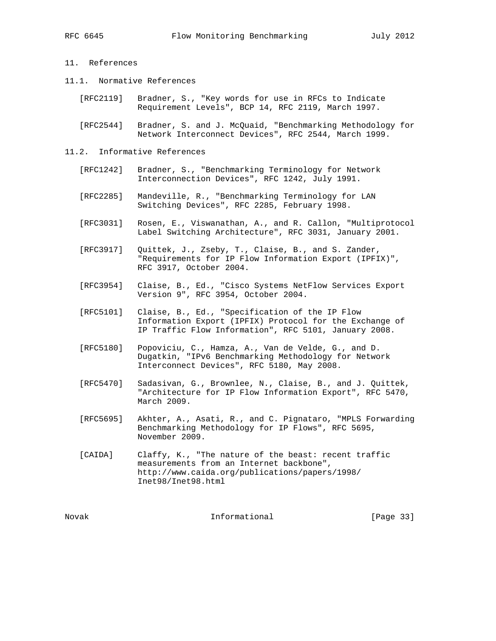# 11. References

- 11.1. Normative References
	- [RFC2119] Bradner, S., "Key words for use in RFCs to Indicate Requirement Levels", BCP 14, RFC 2119, March 1997.
	- [RFC2544] Bradner, S. and J. McQuaid, "Benchmarking Methodology for Network Interconnect Devices", RFC 2544, March 1999.
- 11.2. Informative References
	- [RFC1242] Bradner, S., "Benchmarking Terminology for Network Interconnection Devices", RFC 1242, July 1991.
	- [RFC2285] Mandeville, R., "Benchmarking Terminology for LAN Switching Devices", RFC 2285, February 1998.
	- [RFC3031] Rosen, E., Viswanathan, A., and R. Callon, "Multiprotocol Label Switching Architecture", RFC 3031, January 2001.
	- [RFC3917] Quittek, J., Zseby, T., Claise, B., and S. Zander, "Requirements for IP Flow Information Export (IPFIX)", RFC 3917, October 2004.
- [RFC3954] Claise, B., Ed., "Cisco Systems NetFlow Services Export Version 9", RFC 3954, October 2004.
	- [RFC5101] Claise, B., Ed., "Specification of the IP Flow Information Export (IPFIX) Protocol for the Exchange of IP Traffic Flow Information", RFC 5101, January 2008.
	- [RFC5180] Popoviciu, C., Hamza, A., Van de Velde, G., and D. Dugatkin, "IPv6 Benchmarking Methodology for Network Interconnect Devices", RFC 5180, May 2008.
	- [RFC5470] Sadasivan, G., Brownlee, N., Claise, B., and J. Quittek, "Architecture for IP Flow Information Export", RFC 5470, March 2009.
	- [RFC5695] Akhter, A., Asati, R., and C. Pignataro, "MPLS Forwarding Benchmarking Methodology for IP Flows", RFC 5695, November 2009.
	- [CAIDA] Claffy, K., "The nature of the beast: recent traffic measurements from an Internet backbone", http://www.caida.org/publications/papers/1998/ Inet98/Inet98.html

Novak 1nformational [Page 33]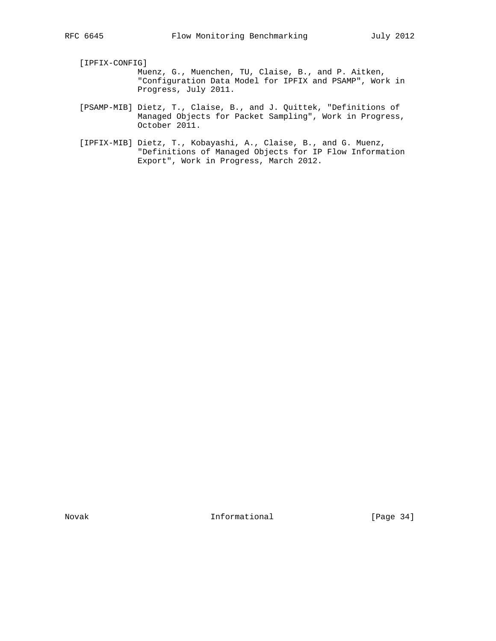[IPFIX-CONFIG]

- Muenz, G., Muenchen, TU, Claise, B., and P. Aitken, "Configuration Data Model for IPFIX and PSAMP", Work in Progress, July 2011.
- [PSAMP-MIB] Dietz, T., Claise, B., and J. Quittek, "Definitions of Managed Objects for Packet Sampling", Work in Progress, October 2011.
- [IPFIX-MIB] Dietz, T., Kobayashi, A., Claise, B., and G. Muenz, "Definitions of Managed Objects for IP Flow Information Export", Work in Progress, March 2012.

Novak **Informational** [Page 34]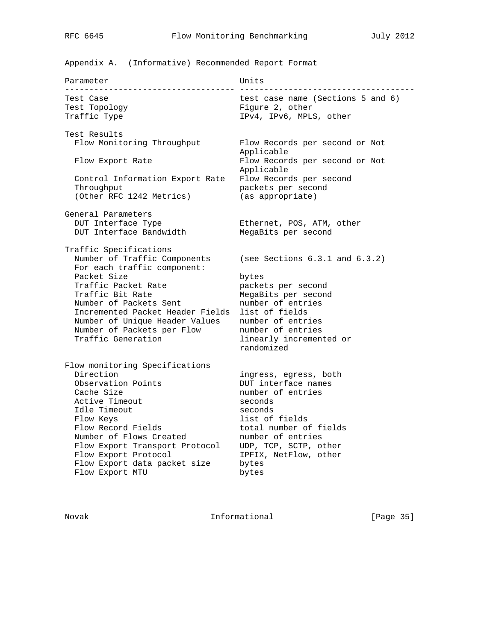Appendix A. (Informative) Recommended Report Format

| Parameter                                                                                                                                                                                                                                                                                           | Units                                                                                                                                                                                                                        |  |  |
|-----------------------------------------------------------------------------------------------------------------------------------------------------------------------------------------------------------------------------------------------------------------------------------------------------|------------------------------------------------------------------------------------------------------------------------------------------------------------------------------------------------------------------------------|--|--|
| Test Case<br>Test Topology<br>Traffic Type                                                                                                                                                                                                                                                          | test case name (Sections 5 and 6)<br>Figure 2, other<br>IPv4, IPv6, MPLS, other                                                                                                                                              |  |  |
| Test Results<br>Flow Monitoring Throughput<br>Flow Export Rate<br>Control Information Export Rate<br>Throughput<br>(Other RFC 1242 Metrics)                                                                                                                                                         | Flow Records per second or Not<br>Applicable<br>Flow Records per second or Not<br>Applicable<br>Flow Records per second<br>packets per second<br>(as appropriate)                                                            |  |  |
| General Parameters<br>DUT Interface Type<br>DUT Interface Bandwidth                                                                                                                                                                                                                                 | Ethernet, POS, ATM, other<br>MegaBits per second                                                                                                                                                                             |  |  |
| Traffic Specifications<br>Number of Traffic Components<br>For each traffic component:<br>Packet Size<br>Traffic Packet Rate<br>Traffic Bit Rate<br>Number of Packets Sent<br>Incremented Packet Header Fields<br>Number of Unique Header Values<br>Number of Packets per Flow<br>Traffic Generation | (see Sections $6.3.1$ and $6.3.2$ )<br>bytes<br>packets per second<br>MegaBits per second<br>number of entries<br>list of fields<br>number of entries<br>number of entries<br>linearly incremented or<br>randomized          |  |  |
| Flow monitoring Specifications<br>Direction<br>Observation Points<br>Cache Size<br>Active Timeout<br>Idle Timeout<br>Flow Keys<br>Flow Record Fields<br>Number of Flows Created<br>Flow Export Transport Protocol<br>Flow Export Protocol<br>Flow Export data packet size<br>Flow Export MTU        | ingress, egress, both<br>DUT interface names<br>number of entries<br>seconds<br>seconds<br>list of fields<br>total number of fields<br>number of entries<br>UDP, TCP, SCTP, other<br>IPFIX, NetFlow, other<br>bytes<br>bytes |  |  |

Novak 1nformational [Page 35]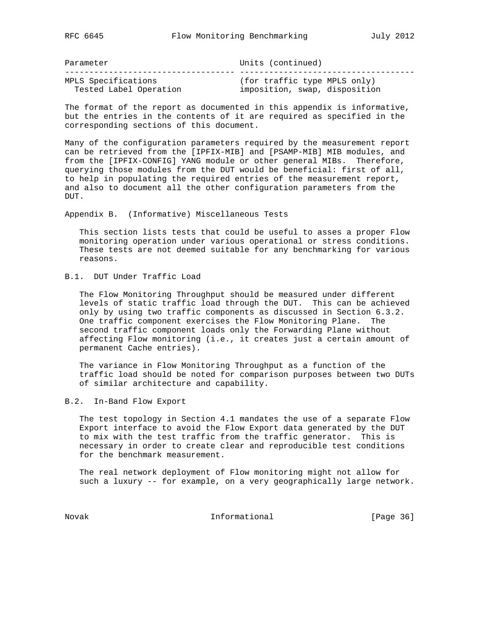| Parameter              | Units (continued)             |
|------------------------|-------------------------------|
|                        |                               |
| MPLS Specifications    | (for traffic type MPLS only)  |
| Tested Label Operation | imposition, swap, disposition |

The format of the report as documented in this appendix is informative, but the entries in the contents of it are required as specified in the corresponding sections of this document.

Many of the configuration parameters required by the measurement report can be retrieved from the [IPFIX-MIB] and [PSAMP-MIB] MIB modules, and from the [IPFIX-CONFIG] YANG module or other general MIBs. Therefore, querying those modules from the DUT would be beneficial: first of all, to help in populating the required entries of the measurement report, and also to document all the other configuration parameters from the DUT.

Appendix B. (Informative) Miscellaneous Tests

 This section lists tests that could be useful to asses a proper Flow monitoring operation under various operational or stress conditions. These tests are not deemed suitable for any benchmarking for various reasons.

B.1. DUT Under Traffic Load

 The Flow Monitoring Throughput should be measured under different levels of static traffic load through the DUT. This can be achieved only by using two traffic components as discussed in Section 6.3.2. One traffic component exercises the Flow Monitoring Plane. The second traffic component loads only the Forwarding Plane without affecting Flow monitoring (i.e., it creates just a certain amount of permanent Cache entries).

 The variance in Flow Monitoring Throughput as a function of the traffic load should be noted for comparison purposes between two DUTs of similar architecture and capability.

B.2. In-Band Flow Export

 The test topology in Section 4.1 mandates the use of a separate Flow Export interface to avoid the Flow Export data generated by the DUT to mix with the test traffic from the traffic generator. This is necessary in order to create clear and reproducible test conditions for the benchmark measurement.

 The real network deployment of Flow monitoring might not allow for such a luxury -- for example, on a very geographically large network.

Novak 1nformational [Page 36]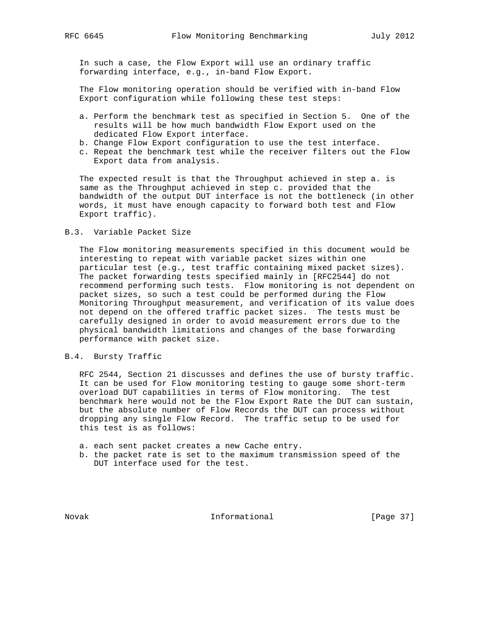In such a case, the Flow Export will use an ordinary traffic forwarding interface, e.g., in-band Flow Export.

 The Flow monitoring operation should be verified with in-band Flow Export configuration while following these test steps:

- a. Perform the benchmark test as specified in Section 5. One of the results will be how much bandwidth Flow Export used on the dedicated Flow Export interface.
- b. Change Flow Export configuration to use the test interface.
- c. Repeat the benchmark test while the receiver filters out the Flow Export data from analysis.

 The expected result is that the Throughput achieved in step a. is same as the Throughput achieved in step c. provided that the bandwidth of the output DUT interface is not the bottleneck (in other words, it must have enough capacity to forward both test and Flow Export traffic).

### B.3. Variable Packet Size

 The Flow monitoring measurements specified in this document would be interesting to repeat with variable packet sizes within one particular test (e.g., test traffic containing mixed packet sizes). The packet forwarding tests specified mainly in [RFC2544] do not recommend performing such tests. Flow monitoring is not dependent on packet sizes, so such a test could be performed during the Flow Monitoring Throughput measurement, and verification of its value does not depend on the offered traffic packet sizes. The tests must be carefully designed in order to avoid measurement errors due to the physical bandwidth limitations and changes of the base forwarding performance with packet size.

# B.4. Bursty Traffic

 RFC 2544, Section 21 discusses and defines the use of bursty traffic. It can be used for Flow monitoring testing to gauge some short-term overload DUT capabilities in terms of Flow monitoring. The test benchmark here would not be the Flow Export Rate the DUT can sustain, but the absolute number of Flow Records the DUT can process without dropping any single Flow Record. The traffic setup to be used for this test is as follows:

- a. each sent packet creates a new Cache entry.
- b. the packet rate is set to the maximum transmission speed of the DUT interface used for the test.

Novak **Informational Informational** [Page 37]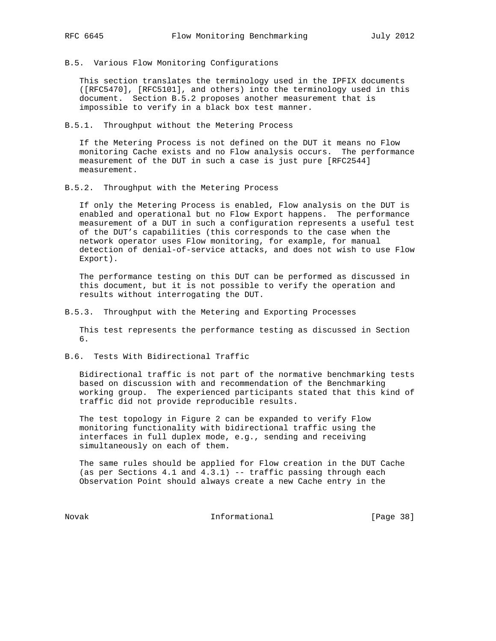- 
- B.5. Various Flow Monitoring Configurations

 This section translates the terminology used in the IPFIX documents ([RFC5470], [RFC5101], and others) into the terminology used in this document. Section B.5.2 proposes another measurement that is impossible to verify in a black box test manner.

B.5.1. Throughput without the Metering Process

 If the Metering Process is not defined on the DUT it means no Flow monitoring Cache exists and no Flow analysis occurs. The performance measurement of the DUT in such a case is just pure [RFC2544] measurement.

B.5.2. Throughput with the Metering Process

 If only the Metering Process is enabled, Flow analysis on the DUT is enabled and operational but no Flow Export happens. The performance measurement of a DUT in such a configuration represents a useful test of the DUT's capabilities (this corresponds to the case when the network operator uses Flow monitoring, for example, for manual detection of denial-of-service attacks, and does not wish to use Flow Export).

 The performance testing on this DUT can be performed as discussed in this document, but it is not possible to verify the operation and results without interrogating the DUT.

B.5.3. Throughput with the Metering and Exporting Processes

 This test represents the performance testing as discussed in Section 6.

B.6. Tests With Bidirectional Traffic

 Bidirectional traffic is not part of the normative benchmarking tests based on discussion with and recommendation of the Benchmarking working group. The experienced participants stated that this kind of traffic did not provide reproducible results.

 The test topology in Figure 2 can be expanded to verify Flow monitoring functionality with bidirectional traffic using the interfaces in full duplex mode, e.g., sending and receiving simultaneously on each of them.

 The same rules should be applied for Flow creation in the DUT Cache (as per Sections 4.1 and 4.3.1) -- traffic passing through each Observation Point should always create a new Cache entry in the

Novak 1nformational [Page 38]